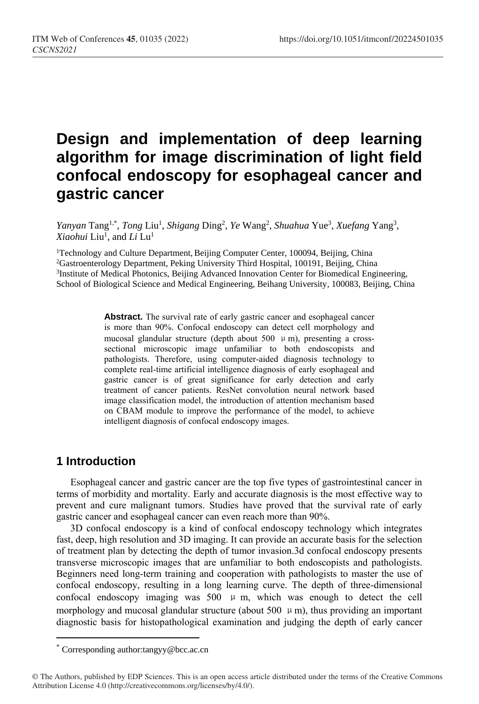# **Design and implementation of deep learning algorithm for image discrimination of light field confocal endoscopy for esophageal cancer and gastric cancer**

Yanyan Tang<sup>1,\*</sup>, *Tong* Liu<sup>1</sup>, *Shigang Ding<sup>2</sup>, Ye* Wang<sup>2</sup>, *Shuahua* Yue<sup>3</sup>, *Xuefang* Yang<sup>3</sup>, *Xiaohui* Liu<sup>1</sup> , and *Li* Lu 1

<sup>1</sup>Technology and Culture Department, Beijing Computer Center, 100094, Beijing, China <sup>2</sup>Gastroenterology Department, Peking University Third Hospital, 100191, Beijing, China <sup>3</sup>Institute of Medical Photonics, Beijing Advanced Innovation Center for Biomedical Engineering, School of Biological Science and Medical Engineering, Beihang University, 100083, Beijing, China

> Abstract. The survival rate of early gastric cancer and esophageal cancer is more than 90%. Confocal endoscopy can detect cell morphology and mucosal glandular structure (depth about 500  $\mu$  m), presenting a crosssectional microscopic image unfamiliar to both endoscopists and pathologists. Therefore, using computer-aided diagnosis technology to complete real-time artificial intelligence diagnosis of early esophageal and gastric cancer is of great significance for early detection and early treatment of cancer patients. ResNet convolution neural network based image classification model, the introduction of attention mechanism based on CBAM module to improve the performance of the model, to achieve intelligent diagnosis of confocal endoscopy images.

# **1 Introduction**

 $\overline{a}$ 

Esophageal cancer and gastric cancer are the top five types of gastrointestinal cancer in terms of morbidity and mortality. Early and accurate diagnosis is the most effective way to prevent and cure malignant tumors. Studies have proved that the survival rate of early gastric cancer and esophageal cancer can even reach more than 90%.

3D confocal endoscopy is a kind of confocal endoscopy technology which integrates fast, deep, high resolution and 3D imaging. It can provide an accurate basis for the selection of treatment plan by detecting the depth of tumor invasion.3d confocal endoscopy presents transverse microscopic images that are unfamiliar to both endoscopists and pathologists. Beginners need long-term training and cooperation with pathologists to master the use of confocal endoscopy, resulting in a long learning curve. The depth of three-dimensional confocal endoscopy imaging was  $500 \mu$  m, which was enough to detect the cell morphology and mucosal glandular structure (about 500  $\mu$  m), thus providing an important diagnostic basis for histopathological examination and judging the depth of early cancer

<sup>\*</sup> Corresponding author:tangyy@bcc.ac.cn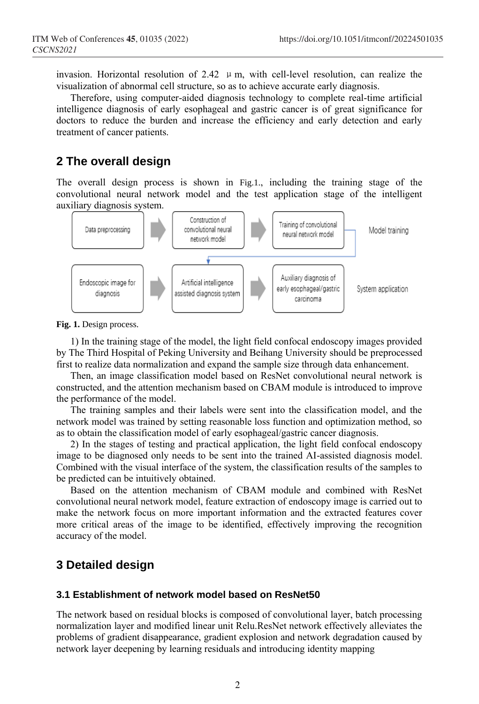invasion. Horizontal resolution of 2.42  $\mu$  m, with cell-level resolution, can realize the visualization of abnormal cell structure, so as to achieve accurate early diagnosis.

Therefore, using computer-aided diagnosis technology to complete real-time artificial intelligence diagnosis of early esophageal and gastric cancer is of great significance for doctors to reduce the burden and increase the efficiency and early detection and early treatment of cancer patients.

# **2 The overall design**

The overall design process is shown in Fig.1., including the training stage of the convolutional neural network model and the test application stage of the intelligent auxiliary diagnosis system.



**Fig. 1.** Design process.

1) In the training stage of the model, the light field confocal endoscopy images provided by The Third Hospital of Peking University and Beihang University should be preprocessed first to realize data normalization and expand the sample size through data enhancement.

Then, an image classification model based on ResNet convolutional neural network is constructed, and the attention mechanism based on CBAM module is introduced to improve the performance of the model.

The training samples and their labels were sent into the classification model, and the network model was trained by setting reasonable loss function and optimization method, so as to obtain the classification model of early esophageal/gastric cancer diagnosis.

2) In the stages of testing and practical application, the light field confocal endoscopy image to be diagnosed only needs to be sent into the trained AI-assisted diagnosis model. Combined with the visual interface of the system, the classification results of the samples to be predicted can be intuitively obtained.

Based on the attention mechanism of CBAM module and combined with ResNet convolutional neural network model, feature extraction of endoscopy image is carried out to make the network focus on more important information and the extracted features cover more critical areas of the image to be identified, effectively improving the recognition accuracy of the model.

# **3 Detailed design**

### **3.1 Establishment of network model based on ResNet50**

The network based on residual blocks is composed of convolutional layer, batch processing normalization layer and modified linear unit Relu.ResNet network effectively alleviates the problems of gradient disappearance, gradient explosion and network degradation caused by network layer deepening by learning residuals and introducing identity mapping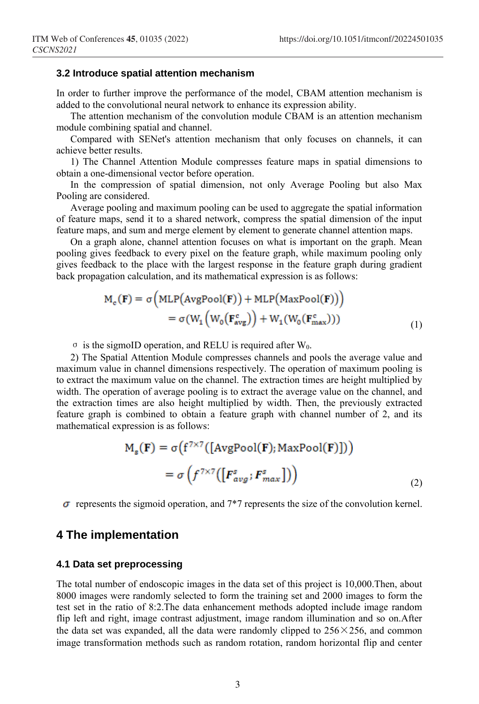#### **3.2 Introduce spatial attention mechanism**

In order to further improve the performance of the model, CBAM attention mechanism is added to the convolutional neural network to enhance its expression ability.

The attention mechanism of the convolution module CBAM is an attention mechanism module combining spatial and channel.

Compared with SENet's attention mechanism that only focuses on channels, it can achieve better results.

1) The Channel Attention Module compresses feature maps in spatial dimensions to obtain a one-dimensional vector before operation.

In the compression of spatial dimension, not only Average Pooling but also Max Pooling are considered.

Average pooling and maximum pooling can be used to aggregate the spatial information of feature maps, send it to a shared network, compress the spatial dimension of the input feature maps, and sum and merge element by element to generate channel attention maps.

On a graph alone, channel attention focuses on what is important on the graph. Mean pooling gives feedback to every pixel on the feature graph, while maximum pooling only gives feedback to the place with the largest response in the feature graph during gradient back propagation calculation, and its mathematical expression is as follows:

$$
M_c(\mathbf{F}) = \sigma \Big( MLP \big( AvgPool(\mathbf{F}) \big) + MLP \big( MaxPool(\mathbf{F}) \big) \Big)
$$
  
=  $\sigma \big( W_1 \Big( W_0 \big( \mathbf{F}_{avg}^c \big) \Big) + W_1 \big( W_0 \big( \mathbf{F}_{max}^c \big) \big) \big)$  (1)

 $\sigma$  is the sigmoID operation, and RELU is required after W<sub>0</sub>.

2) The Spatial Attention Module compresses channels and pools the average value and maximum value in channel dimensions respectively. The operation of maximum pooling is to extract the maximum value on the channel. The extraction times are height multiplied by width. The operation of average pooling is to extract the average value on the channel, and the extraction times are also height multiplied by width. Then, the previously extracted feature graph is combined to obtain a feature graph with channel number of 2, and its mathematical expression is as follows:

$$
M_s(\mathbf{F}) = \sigma(f^{7 \times 7}([\text{AvgPool}(\mathbf{F}); \text{MaxPool}(\mathbf{F})]))
$$

$$
= \sigma\left(f^{7 \times 7}([\mathbf{F}_{avg}^s; \mathbf{F}_{max}^s]))\right)
$$
(2)

 $\sigma$  represents the sigmoid operation, and  $7*7$  represents the size of the convolution kernel.

### **4 The implementation**

#### **4.1 Data set preprocessing**

The total number of endoscopic images in the data set of this project is 10,000.Then, about 8000 images were randomly selected to form the training set and 2000 images to form the test set in the ratio of 8:2.The data enhancement methods adopted include image random flip left and right, image contrast adjustment, image random illumination and so on.After the data set was expanded, all the data were randomly clipped to  $256 \times 256$ , and common image transformation methods such as random rotation, random horizontal flip and center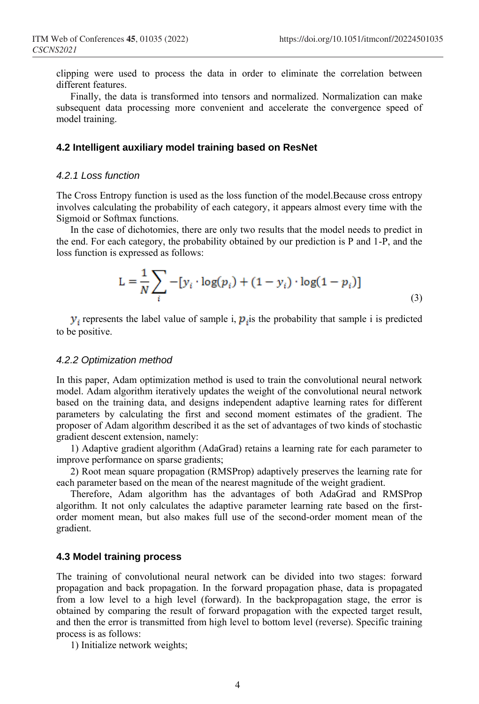clipping were used to process the data in order to eliminate the correlation between different features.

Finally, the data is transformed into tensors and normalized. Normalization can make subsequent data processing more convenient and accelerate the convergence speed of model training.

#### **4.2 Intelligent auxiliary model training based on ResNet**

#### *4.2.1 Loss function*

The Cross Entropy function is used as the loss function of the model.Because cross entropy involves calculating the probability of each category, it appears almost every time with the Sigmoid or Softmax functions.

In the case of dichotomies, there are only two results that the model needs to predict in the end. For each category, the probability obtained by our prediction is P and 1-P, and the loss function is expressed as follows:

$$
L = \frac{1}{N} \sum_{i} -[y_i \cdot \log(p_i) + (1 - y_i) \cdot \log(1 - p_i)]
$$
\n(3)

 $y_i$  represents the label value of sample i,  $p_i$  is the probability that sample i is predicted to be positive.

#### *4.2.2 Optimization method*

In this paper, Adam optimization method is used to train the convolutional neural network model. Adam algorithm iteratively updates the weight of the convolutional neural network based on the training data, and designs independent adaptive learning rates for different parameters by calculating the first and second moment estimates of the gradient. The proposer of Adam algorithm described it as the set of advantages of two kinds of stochastic gradient descent extension, namely:

1) Adaptive gradient algorithm (AdaGrad) retains a learning rate for each parameter to improve performance on sparse gradients;

2) Root mean square propagation (RMSProp) adaptively preserves the learning rate for each parameter based on the mean of the nearest magnitude of the weight gradient.

Therefore, Adam algorithm has the advantages of both AdaGrad and RMSProp algorithm. It not only calculates the adaptive parameter learning rate based on the firstorder moment mean, but also makes full use of the second-order moment mean of the gradient.

#### **4.3 Model training process**

The training of convolutional neural network can be divided into two stages: forward propagation and back propagation. In the forward propagation phase, data is propagated from a low level to a high level (forward). In the backpropagation stage, the error is obtained by comparing the result of forward propagation with the expected target result, and then the error is transmitted from high level to bottom level (reverse). Specific training process is as follows:

1) Initialize network weights;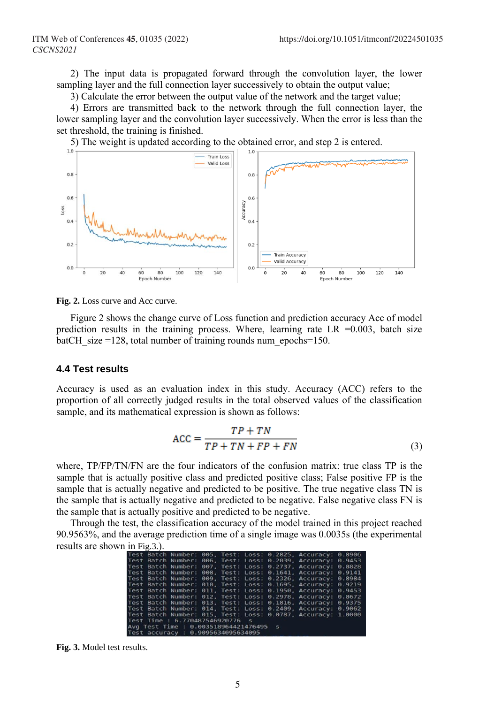2) The input data is propagated forward through the convolution layer, the lower sampling layer and the full connection layer successively to obtain the output value;

3) Calculate the error between the output value of the network and the target value;

4) Errors are transmitted back to the network through the full connection layer, the lower sampling layer and the convolution layer successively. When the error is less than the set threshold, the training is finished.

5) The weight is updated according to the obtained error, and step 2 is entered.



**Fig. 2.** Loss curve and Acc curve.

Figure 2 shows the change curve of Loss function and prediction accuracy Acc of model prediction results in the training process. Where, learning rate  $LR = 0.003$ , batch size batCH size =128, total number of training rounds num\_epochs=150.

#### **4.4 Test results**

Accuracy is used as an evaluation index in this study. Accuracy (ACC) refers to the proportion of all correctly judged results in the total observed values of the classification sample, and its mathematical expression is shown as follows:

$$
ACC = \frac{TP + TN}{TP + TN + FP + FN}
$$
\n(3)

where, TP/FP/TN/FN are the four indicators of the confusion matrix: true class TP is the sample that is actually positive class and predicted positive class; False positive FP is the sample that is actually negative and predicted to be positive. The true negative class TN is the sample that is actually negative and predicted to be negative. False negative class FN is the sample that is actually positive and predicted to be negative.

Through the test, the classification accuracy of the model trained in this project reached 90.9563%, and the average prediction time of a single image was 0.0035s (the experimental results are shown in Fig.3.).

|  |                                       |  |  | Test Batch Number: 005, Test: Loss: 0.2825, Accuracy: 0.8906 |  |
|--|---------------------------------------|--|--|--------------------------------------------------------------|--|
|  |                                       |  |  | Test Batch Number: 006. Test: Loss: 0.2039. Accuracy: 0.9453 |  |
|  |                                       |  |  | Test Batch Number: 007. Test: Loss: 0.2737. Accuracy: 0.8828 |  |
|  |                                       |  |  | Test Batch Number: 008. Test: Loss: 0.1641. Accuracy: 0.9141 |  |
|  |                                       |  |  | Test Batch Number: 009, Test: Loss: 0.2326, Accuracy: 0.8984 |  |
|  |                                       |  |  | Test Batch Number: 010, Test: Loss: 0.1695, Accuracy: 0.9219 |  |
|  |                                       |  |  | Test Batch Number: 011, Test: Loss: 0.1950, Accuracy: 0.9453 |  |
|  |                                       |  |  | Test Batch Number: 012. Test: Loss: 0.2978. Accuracy: 0.8672 |  |
|  |                                       |  |  | Test Batch Number: 013, Test: Loss: 0.1816, Accuracy: 0.9375 |  |
|  |                                       |  |  | Test Batch Number: 014, Test: Loss: 0.2409, Accuracy: 0.9062 |  |
|  |                                       |  |  | Test Batch Number: 015, Test: Loss: 0.0787, Accuracy: 1.0000 |  |
|  | Test Time: 6.770487546920776 s        |  |  |                                                              |  |
|  | Avg Test Time: 0.003518964421476495 s |  |  |                                                              |  |
|  | Test accuracy : 0.9095634095634095    |  |  |                                                              |  |

**Fig. 3.** Model test results.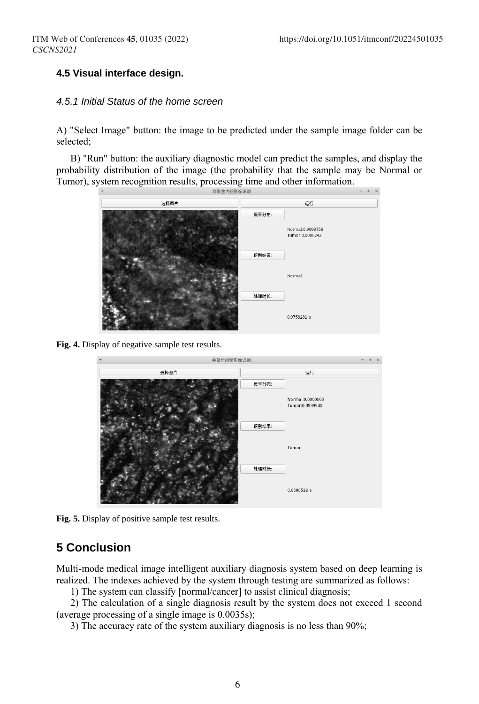### **4.5 Visual interface design.**

#### *4.5.1 Initial Status of the home screen*

A) "Select Image" button: the image to be predicted under the sample image folder can be selected;

B) "Run" button: the auxiliary diagnostic model can predict the samples, and display the probability distribution of the image (the probability that the sample may be Normal or Tumor), system recognition results, processing time and other information.



**Fig. 4.** Display of negative sample test results.



**Fig. 5.** Display of positive sample test results.

### **5 Conclusion**

Multi-mode medical image intelligent auxiliary diagnosis system based on deep learning is realized. The indexes achieved by the system through testing are summarized as follows:

1) The system can classify [normal/cancer] to assist clinical diagnosis;

2) The calculation of a single diagnosis result by the system does not exceed 1 second (average processing of a single image is 0.0035s);

3) The accuracy rate of the system auxiliary diagnosis is no less than 90%;